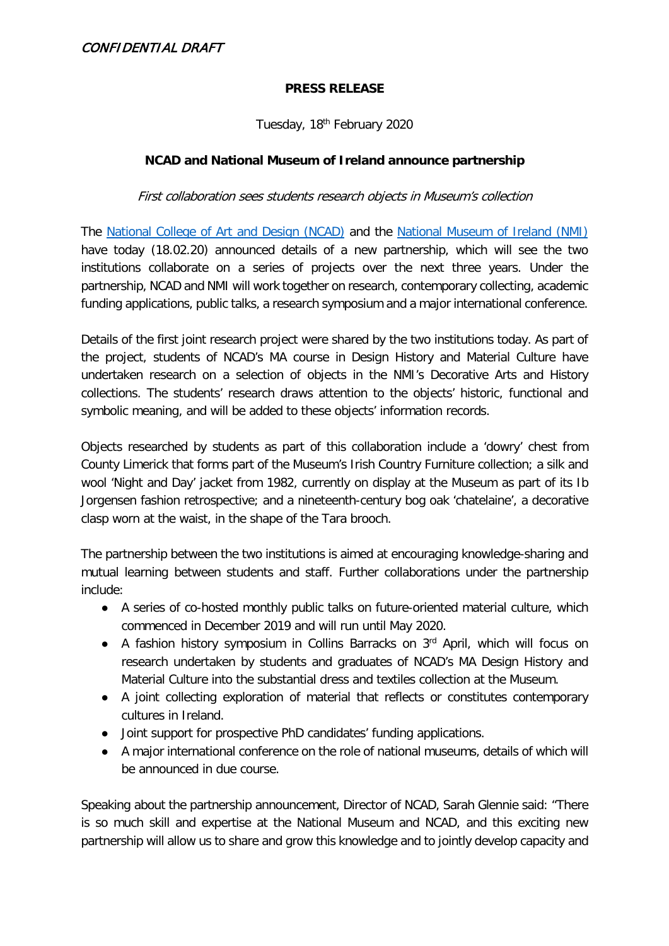### CONFIDENTIAL DRAFT

#### **PRESS RELEASE**

Tuesday, 18th February 2020

#### **NCAD and National Museum of Ireland announce partnership**

First collaboration sees students research objects in Museum's collection

The [National College of Art and Design \(NCAD\)](http://www.ncad.ie/) and the [National Museum of Ireland \(NMI\)](https://www.museum.ie/Home) have today (18.02.20) announced details of a new partnership, which will see the two institutions collaborate on a series of projects over the next three years. Under the partnership, NCAD and NMI will work together on research, contemporary collecting, academic funding applications, public talks, a research symposium and a major international conference.

Details of the first joint research project were shared by the two institutions today. As part of the project, students of NCAD's MA course in Design History and Material Culture have undertaken research on a selection of objects in the NMI's Decorative Arts and History collections. The students' research draws attention to the objects' historic, functional and symbolic meaning, and will be added to these objects' information records.

Objects researched by students as part of this collaboration include a 'dowry' chest from County Limerick that forms part of the Museum's Irish Country Furniture collection; a silk and wool 'Night and Day' jacket from 1982, currently on display at the Museum as part of its Ib Jorgensen fashion retrospective; and a nineteenth-century bog oak 'chatelaine', a decorative clasp worn at the waist, in the shape of the Tara brooch.

The partnership between the two institutions is aimed at encouraging knowledge-sharing and mutual learning between students and staff. Further collaborations under the partnership include:

- A series of co-hosted monthly public talks on future-oriented material culture, which commenced in December 2019 and will run until May 2020.
- A fashion history symposium in Collins Barracks on 3<sup>rd</sup> April, which will focus on research undertaken by students and graduates of NCAD's MA Design History and Material Culture into the substantial dress and textiles collection at the Museum.
- A joint collecting exploration of material that reflects or constitutes contemporary cultures in Ireland.
- Joint support for prospective PhD candidates' funding applications.
- A major international conference on the role of national museums, details of which will be announced in due course.

Speaking about the partnership announcement, Director of NCAD, Sarah Glennie said: "There is so much skill and expertise at the National Museum and NCAD, and this exciting new partnership will allow us to share and grow this knowledge and to jointly develop capacity and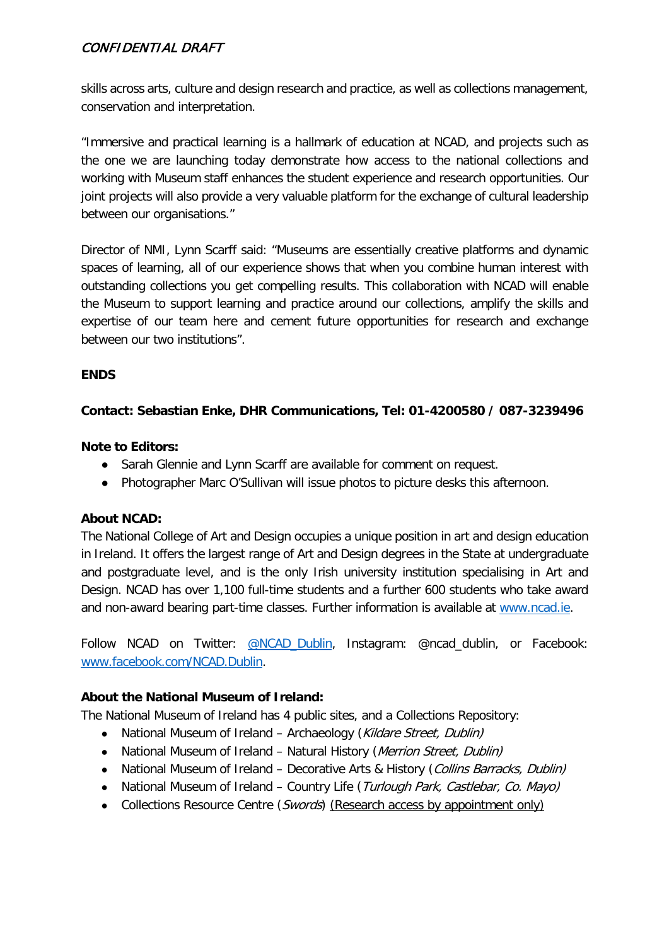# CONFIDENTIAL DRAFT

skills across arts, culture and design research and practice, as well as collections management, conservation and interpretation.

"Immersive and practical learning is a hallmark of education at NCAD, and projects such as the one we are launching today demonstrate how access to the national collections and working with Museum staff enhances the student experience and research opportunities. Our joint projects will also provide a very valuable platform for the exchange of cultural leadership between our organisations."

Director of NMI, Lynn Scarff said: "Museums are essentially creative platforms and dynamic spaces of learning, all of our experience shows that when you combine human interest with outstanding collections you get compelling results. This collaboration with NCAD will enable the Museum to support learning and practice around our collections, amplify the skills and expertise of our team here and cement future opportunities for research and exchange between our two institutions".

## **ENDS**

## **Contact: Sebastian Enke, DHR Communications, Tel: 01-4200580 / 087-3239496**

#### **Note to Editors:**

- Sarah Glennie and Lynn Scarff are available for comment on request.
- Photographer Marc O'Sullivan will issue photos to picture desks this afternoon.

#### **About NCAD:**

The National College of Art and Design occupies a unique position in art and design education in Ireland. It offers the largest range of Art and Design degrees in the State at undergraduate and postgraduate level, and is the only Irish university institution specialising in Art and Design. NCAD has over 1,100 full-time students and a further 600 students who take award and non-award bearing part-time classes. Further information is available at [www.ncad.ie.](http://www.ncad.ie/)

Follow NCAD on Twitter: [@NCAD\\_Dublin,](https://twitter.com/NCAD_Dublin) Instagram: @ncad\_dublin, or Facebook: [www.facebook.com/NCAD.Dublin.](http://www.facebook.com/NCAD.Dublin)

#### **About the National Museum of Ireland:**

The National Museum of Ireland has 4 public sites, and a Collections Repository:

- National Museum of Ireland Archaeology (Kildare Street, Dublin)
- National Museum of Ireland Natural History (Merrion Street, Dublin)
- National Museum of Ireland Decorative Arts & History (Collins Barracks, Dublin)
- National Museum of Ireland Country Life (Turlough Park, Castlebar, Co. Mayo)
- Collections Resource Centre (Swords) (Research access by appointment only)